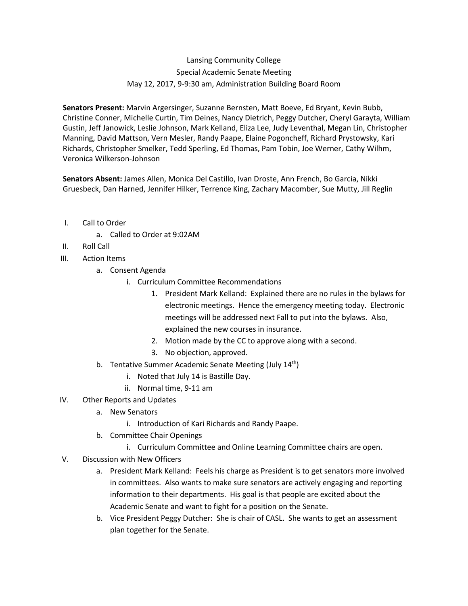## Lansing Community College Special Academic Senate Meeting May 12, 2017, 9-9:30 am, Administration Building Board Room

**Senators Present:** Marvin Argersinger, Suzanne Bernsten, Matt Boeve, Ed Bryant, Kevin Bubb, Christine Conner, Michelle Curtin, Tim Deines, Nancy Dietrich, Peggy Dutcher, Cheryl Garayta, William Gustin, Jeff Janowick, Leslie Johnson, Mark Kelland, Eliza Lee, Judy Leventhal, Megan Lin, Christopher Manning, David Mattson, Vern Mesler, Randy Paape, Elaine Pogoncheff, Richard Prystowsky, Kari Richards, Christopher Smelker, Tedd Sperling, Ed Thomas, Pam Tobin, Joe Werner, Cathy Wilhm, Veronica Wilkerson-Johnson

**Senators Absent:** James Allen, Monica Del Castillo, Ivan Droste, Ann French, Bo Garcia, Nikki Gruesbeck, Dan Harned, Jennifer Hilker, Terrence King, Zachary Macomber, Sue Mutty, Jill Reglin

- I. Call to Order
	- a. Called to Order at 9:02AM
- II. Roll Call
- III. Action Items
	- a. Consent Agenda
		- i. Curriculum Committee Recommendations
			- 1. President Mark Kelland: Explained there are no rules in the bylaws for electronic meetings. Hence the emergency meeting today. Electronic meetings will be addressed next Fall to put into the bylaws. Also, explained the new courses in insurance.
			- 2. Motion made by the CC to approve along with a second.
			- 3. No objection, approved.
	- b. Tentative Summer Academic Senate Meeting (July  $14<sup>th</sup>$ )
		- i. Noted that July 14 is Bastille Day.
		- ii. Normal time, 9-11 am
- IV. Other Reports and Updates
	- a. New Senators
		- i. Introduction of Kari Richards and Randy Paape.
	- b. Committee Chair Openings
		- i. Curriculum Committee and Online Learning Committee chairs are open.
- V. Discussion with New Officers
	- a. President Mark Kelland: Feels his charge as President is to get senators more involved in committees. Also wants to make sure senators are actively engaging and reporting information to their departments. His goal is that people are excited about the Academic Senate and want to fight for a position on the Senate.
	- b. Vice President Peggy Dutcher: She is chair of CASL. She wants to get an assessment plan together for the Senate.